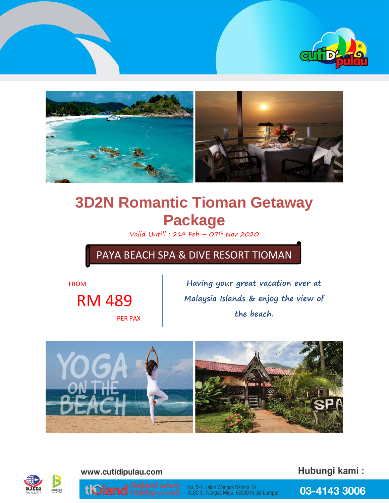



# **3D2N Romantic Tioman Getaway Package**

Valid Untill :  $21^{st}$  Feb –  $07^{th}$  Nov 2020

PAYA BEACH SPA & DIVE RESORT TIOMAN

FROM

RM 489

PER PAX

**Having your great vacation ever at Malaysia Islands & enjoy the view of the beach.**





www.cutidipulau.com

Hubungi kami:

03-4143 3006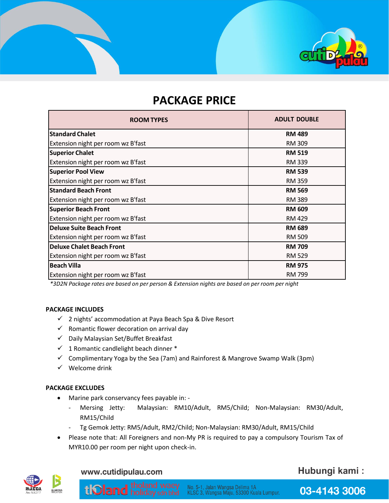

# **PACKAGE PRICE**

| <b>ROOM TYPES</b>                  | <b>ADULT DOUBLE</b> |
|------------------------------------|---------------------|
| <b>Standard Chalet</b>             | <b>RM 489</b>       |
| Extension night per room wz B'fast | <b>RM 309</b>       |
| <b>Superior Chalet</b>             | <b>RM 519</b>       |
| Extension night per room wz B'fast | <b>RM 339</b>       |
| <b>Superior Pool View</b>          | <b>RM 539</b>       |
| Extension night per room wz B'fast | <b>RM 359</b>       |
| <b>Standard Beach Front</b>        | <b>RM 569</b>       |
| Extension night per room wz B'fast | <b>RM 389</b>       |
| <b>Superior Beach Front</b>        | <b>RM 609</b>       |
| Extension night per room wz B'fast | <b>RM 429</b>       |
| <b>Deluxe Suite Beach Front</b>    | <b>RM 689</b>       |
| Extension night per room wz B'fast | <b>RM 509</b>       |
| <b>Deluxe Chalet Beach Front</b>   | <b>RM 709</b>       |
| Extension night per room wz B'fast | <b>RM 529</b>       |
| <b>Beach Villa</b>                 | <b>RM 975</b>       |
| Extension night per room wz B'fast | <b>RM 799</b>       |

*\*3D2N Package rates are based on per person & Extension nights are based on per room per night*

#### **PACKAGE INCLUDES**

- ✓ 2 nights' accommodation at Paya Beach Spa & Dive Resort
- $\checkmark$  Romantic flower decoration on arrival day
- ✓ Daily Malaysian Set/Buffet Breakfast
- $\checkmark$  1 Romantic candlelight beach dinner  $*$
- $\checkmark$  Complimentary Yoga by the Sea (7am) and Rainforest & Mangrove Swamp Walk (3pm)
- $\checkmark$  Welcome drink

#### **PACKAGE EXCLUDES**

- Marine park conservancy fees payable in:
	- Mersing Jetty: Malaysian: RM10/Adult, RM5/Child; Non-Malaysian: RM30/Adult, RM15/Child
	- Tg Gemok Jetty: RM5/Adult, RM2/Child; Non-Malaysian: RM30/Adult, RM15/Child
- Please note that: All Foreigners and non-My PR is required to pay a compulsory Tourism Tax of MYR10.00 per room per night upon check-in.



www.cutidipulau.com

tl**oland** tholand waey

Hubungi kami: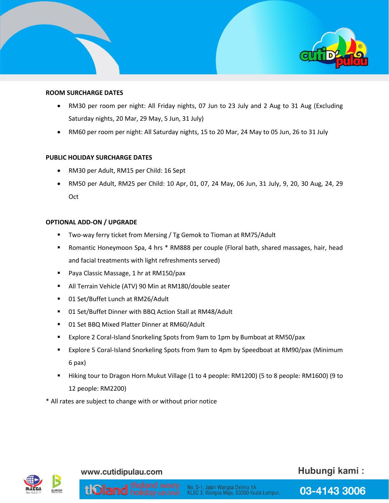

#### **ROOM SURCHARGE DATES**

- RM30 per room per night: All Friday nights, 07 Jun to 23 July and 2 Aug to 31 Aug (Excluding Saturday nights, 20 Mar, 29 May, 5 Jun, 31 July)
- RM60 per room per night: All Saturday nights, 15 to 20 Mar, 24 May to 05 Jun, 26 to 31 July

#### **PUBLIC HOLIDAY SURCHARGE DATES**

- RM30 per Adult, RM15 per Child: 16 Sept
- RM50 per Adult, RM25 per Child: 10 Apr, 01, 07, 24 May, 06 Jun, 31 July, 9, 20, 30 Aug, 24, 29 **Oct**

#### **OPTIONAL ADD-ON / UPGRADE**

- Two-way ferry ticket from Mersing / Tg Gemok to Tioman at RM75/Adult
- Romantic Honeymoon Spa, 4 hrs \* RM888 per couple (Floral bath, shared massages, hair, head and facial treatments with light refreshments served)
- Paya Classic Massage, 1 hr at RM150/pax
- All Terrain Vehicle (ATV) 90 Min at RM180/double seater
- 01 Set/Buffet Lunch at RM26/Adult
- 01 Set/Buffet Dinner with BBQ Action Stall at RM48/Adult
- 01 Set BBQ Mixed Platter Dinner at RM60/Adult
- Explore 2 Coral-Island Snorkeling Spots from 9am to 1pm by Bumboat at RM50/pax
- Explore 5 Coral-Island Snorkeling Spots from 9am to 4pm by Speedboat at RM90/pax (Minimum 6 pax)
- Hiking tour to Dragon Horn Mukut Village (1 to 4 people: RM1200) (5 to 8 people: RM1600) (9 to 12 people: RM2200)

No. 5-1, Jalan Wangsa Delima 1A<br>KLSC 3, Wangsa Maju, 53300 Kuala Lumpur.

\* All rates are subject to change with or without prior notice



#### www.cutidipulau.com

**UOland** holiday sdn bhd

## Hubungi kami: